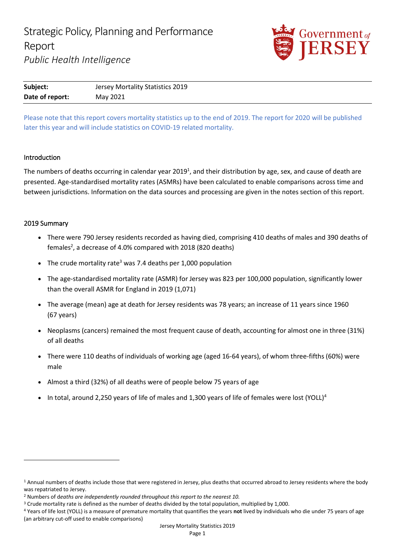

| Subject:        | Jersey Mortality Statistics 2019 |
|-----------------|----------------------------------|
| Date of report: | May 2021                         |

Please note that this report covers mortality statistics up to the end of 2019. The report for 2020 will be published later this year and will include statistics on COVID-19 related mortality.

# Introduction

The numbers of deaths occurring in calendar year 2019<sup>1</sup>, and their distribution by age, sex, and cause of death are presented. Age-standardised mortality rates (ASMRs) have been calculated to enable comparisons across time and between jurisdictions. Information on the data sources and processing are given in the notes section of this report.

# 2019 Summary

- There were 790 Jersey residents recorded as having died, comprising 410 deaths of males and 390 deaths of females<sup>2</sup>, a decrease of 4.0% compared with 2018 (820 deaths)
- The crude mortality rate<sup>3</sup> was 7.4 deaths per 1,000 population
- The age-standardised mortality rate (ASMR) for Jersey was 823 per 100,000 population, significantly lower than the overall ASMR for England in 2019 (1,071)
- The average (mean) age at death for Jersey residents was 78 years; an increase of 11 years since 1960 (67 years)
- Neoplasms (cancers) remained the most frequent cause of death, accounting for almost one in three (31%) of all deaths
- There were 110 deaths of individuals of working age (aged 16-64 years), of whom three-fifths (60%) were male
- Almost a third (32%) of all deaths were of people below 75 years of age
- In total, around 2,250 years of life of males and 1,300 years of life of females were lost (YOLL)<sup>4</sup>

<sup>&</sup>lt;sup>1</sup> Annual numbers of deaths include those that were registered in Jersey, plus deaths that occurred abroad to Jersey residents where the body was repatriated to Jersey.

<sup>2</sup> Numbers of d*eaths are independently rounded throughout this report to the nearest 10.*

<sup>&</sup>lt;sup>3</sup> Crude mortality rate is defined as the number of deaths divided by the total population, multiplied by 1,000.

<sup>4</sup> Years of life lost (YOLL) is a measure of premature mortality that quantifies the years **not** lived by individuals who die under 75 years of age (an arbitrary cut-off used to enable comparisons)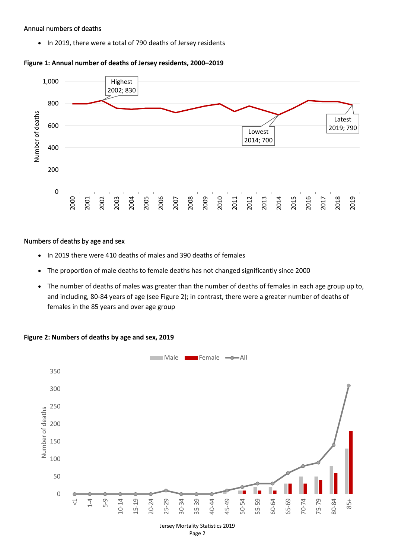## Annual numbers of deaths

• In 2019, there were a total of 790 deaths of Jersey residents



# **Figure 1: Annual number of deaths of Jersey residents, 2000–2019**

## Numbers of deaths by age and sex

- In 2019 there were 410 deaths of males and 390 deaths of females
- The proportion of male deaths to female deaths has not changed significantly since 2000
- The number of deaths of males was greater than the number of deaths of females in each age group up to, and including, 80-84 years of age (see Figure 2); in contrast, there were a greater number of deaths of females in the 85 years and over age group

2019



# **Figure 2: Numbers of deaths by age and sex, 2019**

Page 2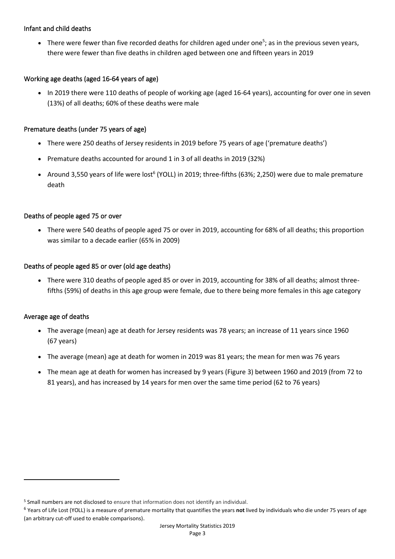# Infant and child deaths

• There were fewer than five recorded deaths for children aged under one<sup>5</sup>; as in the previous seven years, there were fewer than five deaths in children aged between one and fifteen years in 2019

# Working age deaths (aged 16-64 years of age)

• In 2019 there were 110 deaths of people of working age (aged 16-64 years), accounting for over one in seven (13%) of all deaths; 60% of these deaths were male

# Premature deaths (under 75 years of age)

- There were 250 deaths of Jersey residents in 2019 before 75 years of age ('premature deaths')
- Premature deaths accounted for around 1 in 3 of all deaths in 2019 (32%)
- Around 3,550 years of life were lost<sup>6</sup> (YOLL) in 2019; three-fifths (63%; 2,250) were due to male premature death

# Deaths of people aged 75 or over

• There were 540 deaths of people aged 75 or over in 2019, accounting for 68% of all deaths; this proportion was similar to a decade earlier (65% in 2009)

# Deaths of people aged 85 or over (old age deaths)

• There were 310 deaths of people aged 85 or over in 2019, accounting for 38% of all deaths; almost threefifths (59%) of deaths in this age group were female, due to there being more females in this age category

# Average age of deaths

- The average (mean) age at death for Jersey residents was 78 years; an increase of 11 years since 1960 (67 years)
- The average (mean) age at death for women in 2019 was 81 years; the mean for men was 76 years
- The mean age at death for women has increased by 9 years (Figure 3) between 1960 and 2019 (from 72 to 81 years), and has increased by 14 years for men over the same time period (62 to 76 years)

<sup>5</sup> Small numbers are not disclosed to ensure that information does not identify an individual.

<sup>6</sup> Years of Life Lost (YOLL) is a measure of premature mortality that quantifies the years **not** lived by individuals who die under 75 years of age (an arbitrary cut-off used to enable comparisons).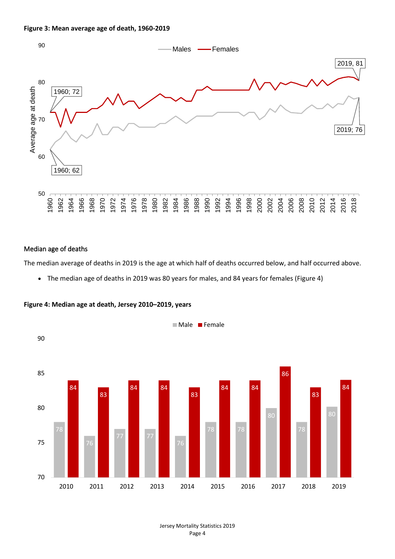



#### Median age of deaths

The median average of deaths in 2019 is the age at which half of deaths occurred below, and half occurred above.

• The median age of deaths in 2019 was 80 years for males, and 84 years for females (Figure 4)



**Figure 4: Median age at death, Jersey 2010–2019, years**

Jersey Mortality Statistics 2019 Page 4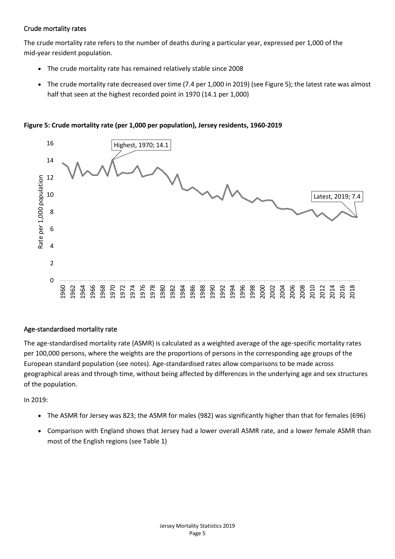# Crude mortality rates

The crude mortality rate refers to the number of deaths during a particular year, expressed per 1,000 of the mid-year resident population.

- The crude mortality rate has remained relatively stable since 2008
- The crude mortality rate decreased over time (7.4 per 1,000 in 2019) (see Figure 5); the latest rate was almost half that seen at the highest recorded point in 1970 (14.1 per 1,000)

**Figure 5: Crude mortality rate (per 1,000 per population), Jersey residents, 1960-2019**



# Age-standardised mortality rate

The age-standardised mortality rate (ASMR) is calculated as a weighted average of the age-specific mortality rates per 100,000 persons, where the weights are the proportions of persons in the corresponding age groups of the European standard population (see notes). Age-standardised rates allow comparisons to be made across geographical areas and through time, without being affected by differences in the underlying age and sex structures of the population.

In 2019:

- The ASMR for Jersey was 823; the ASMR for males (982) was significantly higher than that for females (696)
- Comparison with England shows that Jersey had a lower overall ASMR rate, and a lower female ASMR than most of the English regions (see Table 1)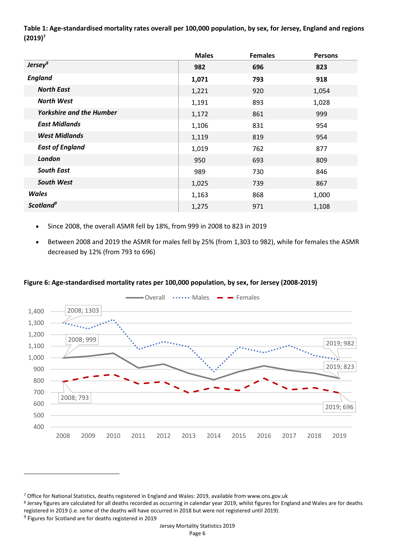**Table 1: Age-standardised mortality rates overall per 100,000 population, by sex, for Jersey, England and regions (2019)<sup>7</sup>**

|                                 | <b>Males</b> | <b>Females</b> | <b>Persons</b> |
|---------------------------------|--------------|----------------|----------------|
| Jersey <sup>8</sup>             | 982          | 696            | 823            |
| <b>England</b>                  | 1,071        | 793            | 918            |
| <b>North East</b>               | 1,221        | 920            | 1,054          |
| <b>North West</b>               | 1,191        | 893            | 1,028          |
| <b>Yorkshire and the Humber</b> | 1,172        | 861            | 999            |
| <b>East Midlands</b>            | 1,106        | 831            | 954            |
| <b>West Midlands</b>            | 1,119        | 819            | 954            |
| <b>East of England</b>          | 1,019        | 762            | 877            |
| London                          | 950          | 693            | 809            |
| <b>South East</b>               | 989          | 730            | 846            |
| <b>South West</b>               | 1,025        | 739            | 867            |
| <b>Wales</b>                    | 1,163        | 868            | 1,000          |
| Scotland <sup>9</sup>           | 1,275        | 971            | 1,108          |

- Since 2008, the overall ASMR fell by 18%, from 999 in 2008 to 823 in 2019
- Between 2008 and 2019 the ASMR for males fell by 25% (from 1,303 to 982), while for females the ASMR decreased by 12% (from 793 to 696)

# **Figure 6: Age-standardised mortality rates per 100,000 population, by sex, for Jersey (2008-2019)**



<sup>7</sup> Office for National Statistics, deaths registered in England and Wales: 2019, available from www.ons.gov.uk

<sup>8</sup> Jersey figures are calculated for all deaths recorded as occurring in calendar year 2019, whilst figures for England and Wales are for deaths registered in 2019 (i.e. some of the deaths will have occurred in 2018 but were not registered until 2019).

<sup>&</sup>lt;sup>9</sup> Figures for Scotland are for deaths registered in 2019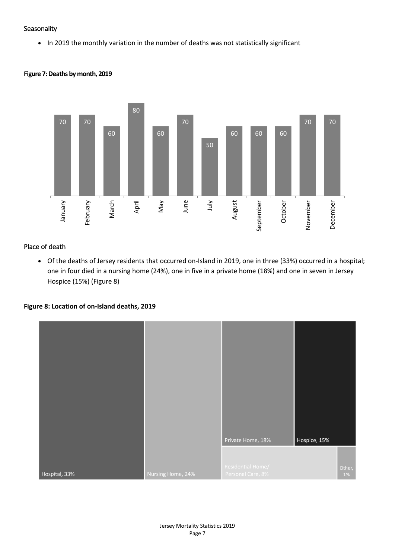## **Seasonality**

• In 2019 the monthly variation in the number of deaths was not statistically significant



## **Figure 7: Deaths by month, 2019**

# Place of death

• Of the deaths of Jersey residents that occurred on-Island in 2019, one in three (33%) occurred in a hospital; one in four died in a nursing home (24%), one in five in a private home (18%) and one in seven in Jersey Hospice (15%) (Figure 8)

## **Figure 8: Location of on-Island deaths, 2019**

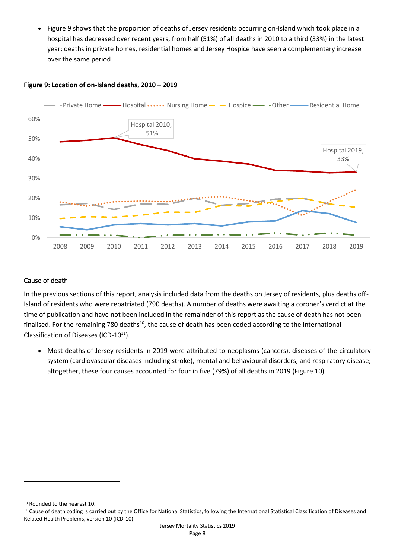• Figure 9 shows that the proportion of deaths of Jersey residents occurring on-Island which took place in a hospital has decreased over recent years, from half (51%) of all deaths in 2010 to a third (33%) in the latest year; deaths in private homes, residential homes and Jersey Hospice have seen a complementary increase over the same period



#### **Figure 9: Location of on-Island deaths, 2010 – 2019**

## Cause of death

In the previous sections of this report, analysis included data from the deaths on Jersey of residents, plus deaths off-Island of residents who were repatriated (790 deaths). A number of deaths were awaiting a coroner's verdict at the time of publication and have not been included in the remainder of this report as the cause of death has not been finalised. For the remaining 780 deaths<sup>10</sup>, the cause of death has been coded according to the International Classification of Diseases (ICD-10 $11$ ).

• Most deaths of Jersey residents in 2019 were attributed to neoplasms (cancers), diseases of the circulatory system (cardiovascular diseases including stroke), mental and behavioural disorders, and respiratory disease; altogether, these four causes accounted for four in five (79%) of all deaths in 2019 (Figure 10)

<sup>10</sup> Rounded to the nearest 10.

<sup>&</sup>lt;sup>11</sup> Cause of death coding is carried out by the Office for National Statistics, following the International Statistical Classification of Diseases and Related Health Problems, version 10 (ICD-10)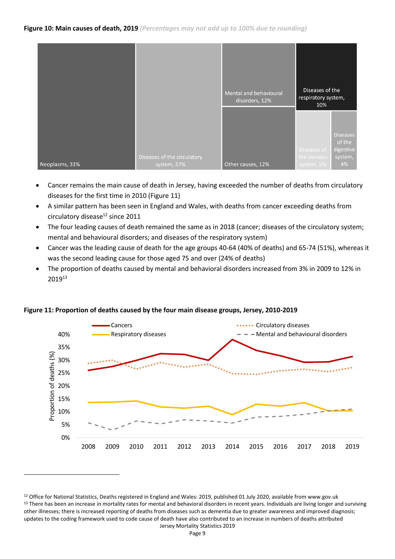|                |                                            | Mental and behavioural<br>disorders, 12% | Diseases of the<br>respiratory system,<br>10% |                                                         |
|----------------|--------------------------------------------|------------------------------------------|-----------------------------------------------|---------------------------------------------------------|
| Neoplasms, 31% | Diseases of the circulatory<br>system, 27% | Other causes, 12%                        | Diseases of<br>the nervous<br>system, 5%      | <b>Diseases</b><br>of the<br>digestive<br>system,<br>4% |

- Cancer remains the main cause of death in Jersey, having exceeded the number of deaths from circulatory diseases for the first time in 2010 (Figure 11)
- A similar pattern has been seen in England and Wales, with deaths from cancer exceeding deaths from circulatory disease<sup>12</sup> since 2011
- The four leading causes of death remained the same as in 2018 (cancer; diseases of the circulatory system; mental and behavioural disorders; and diseases of the respiratory system)
- Cancer was the leading cause of death for the age groups 40-64 (40% of deaths) and 65-74 (51%), whereas it was the second leading cause for those aged 75 and over (24% of deaths)
- The proportion of deaths caused by mental and behavioral disorders increased from 3% in 2009 to 12% in 2019<sup>13</sup>



## **Figure 11: Proportion of deaths caused by the four main disease groups, Jersey, 2010-2019**

Jersey Mortality Statistics 2019 <sup>12</sup> Office for National Statistics, Deaths registered in England and Wales: 2019, published 01 July 2020, available from www.gov.uk 13 There has been an increase in mortality rates for mental and behavioral disorders in recent years. Individuals are living longer and surviving other illnesses; there is increased reporting of deaths from diseases such as dementia due to greater awareness and improved diagnosis; updates to the coding framework used to code cause of death have also contributed to an increase in numbers of deaths attributed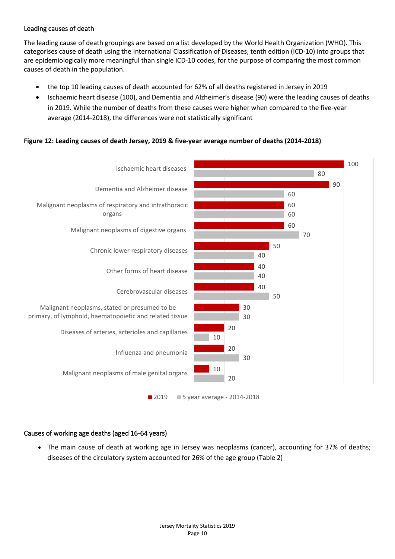# Leading causes of death

The [leading cause of death groupings](https://www.ons.gov.uk/peoplepopulationandcommunity/birthsdeathsandmarriages/deaths/methodologies/userguidetomortalitystatistics/leadingcausesofdeathinenglandandwalesrevised2016) are based on a list developed by the World Health Organization (WHO). This categorises cause of death using the [International Classification of Diseases, tenth edition \(ICD-10\)](https://icd.who.int/browse10/2014/en) into groups that are epidemiologically more meaningful than single ICD-10 codes, for the purpose of comparing the most common causes of death in the population.

- the top 10 leading causes of death accounted for 62% of all deaths registered in Jersey in 2019
- Ischaemic heart disease (100), and Dementia and Alzheimer's disease (90) were the leading causes of deaths in 2019. While the number of deaths from these causes were higher when compared to the five-year average (2014-2018), the differences were not statistically significant

# **Figure 12: Leading causes of death Jersey, 2019 & five-year average number of deaths (2014-2018)**



# Causes of working age deaths (aged 16-64 years)

• The main cause of death at working age in Jersey was neoplasms (cancer), accounting for 37% of deaths; diseases of the circulatory system accounted for 26% of the age group (Table 2)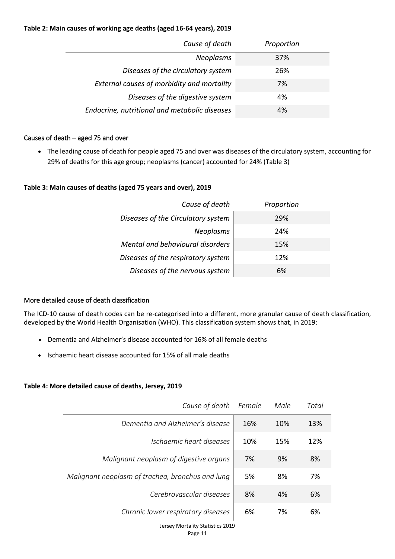## **Table 2: Main causes of working age deaths (aged 16-64 years), 2019**

| Cause of death                                | Proportion |
|-----------------------------------------------|------------|
| <b>Neoplasms</b>                              | 37%        |
| Diseases of the circulatory system            | 26%        |
| External causes of morbidity and mortality    | 7%         |
| Diseases of the digestive system              | 4%         |
| Endocrine, nutritional and metabolic diseases | 4%         |

## Causes of death – aged 75 and over

• The leading cause of death for people aged 75 and over was diseases of the circulatory system, accounting for 29% of deaths for this age group; neoplasms (cancer) accounted for 24% (Table 3)

## **Table 3: Main causes of deaths (aged 75 years and over), 2019**

| Cause of death                     | Proportion |
|------------------------------------|------------|
| Diseases of the Circulatory system | 29%        |
| <b>Neoplasms</b>                   | 24%        |
| Mental and behavioural disorders   | 15%        |
| Diseases of the respiratory system | 12%        |
| Diseases of the nervous system     | 6%         |

## More detailed cause of death classification

The ICD-10 cause of death codes can be re-categorised into a different, more granular cause of death classification, developed by the World Health Organisation (WHO). This classification system shows that, in 2019:

- Dementia and Alzheimer's disease accounted for 16% of all female deaths
- Ischaemic heart disease accounted for 15% of all male deaths

# **Table 4: More detailed cause of deaths, Jersey, 2019**

| Cause of death                                   | Female | Male | Total |
|--------------------------------------------------|--------|------|-------|
| Dementia and Alzheimer's disease                 | 16%    | 10%  | 13%   |
| Ischaemic heart diseases                         | 10%    | 15%  | 12%   |
| Malignant neoplasm of digestive organs           | 7%     | 9%   | 8%    |
| Malignant neoplasm of trachea, bronchus and lung | 5%     | 8%   | 7%    |
| Cerebrovascular diseases                         | 8%     | 4%   | 6%    |
| Chronic lower respiratory diseases               | 6%     | 7%   | 6%    |
| Jersey Mortality Statistics 2019                 |        |      |       |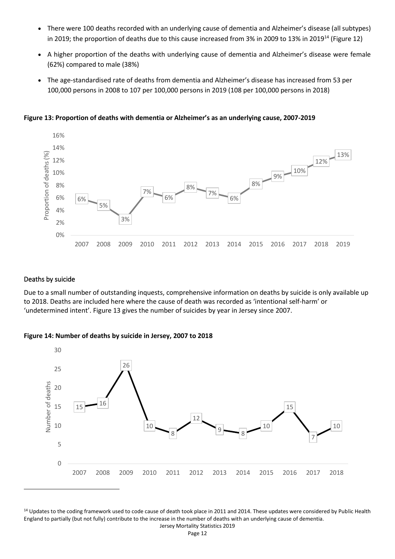- There were 100 deaths recorded with an underlying cause of dementia and Alzheimer's disease (all subtypes) in 2019; the proportion of deaths due to this cause increased from 3% in 2009 to 13% in 2019<sup>14</sup> (Figure 12)
- A higher proportion of the deaths with underlying cause of dementia and Alzheimer's disease were female (62%) compared to male (38%)
- The age-standardised rate of deaths from dementia and Alzheimer's disease has increased from 53 per 100,000 persons in 2008 to 107 per 100,000 persons in 2019 (108 per 100,000 persons in 2018)

**Figure 13: Proportion of deaths with dementia or Alzheimer's as an underlying cause, 2007-2019**



#### Deaths by suicide

Due to a small number of outstanding inquests, comprehensive information on deaths by suicide is only available up to 2018. Deaths are included here where the cause of death was recorded as 'intentional self-harm' or 'undetermined intent'. Figure 13 gives the number of suicides by year in Jersey since 2007.

**Figure 14: Number of deaths by suicide in Jersey, 2007 to 2018**



<sup>14</sup> Updates to the coding framework used to code cause of death took place in 2011 and 2014. These updates were considered by Public Health England to partially (but not fully) contribute to the increase in the number of deaths with an underlying cause of dementia.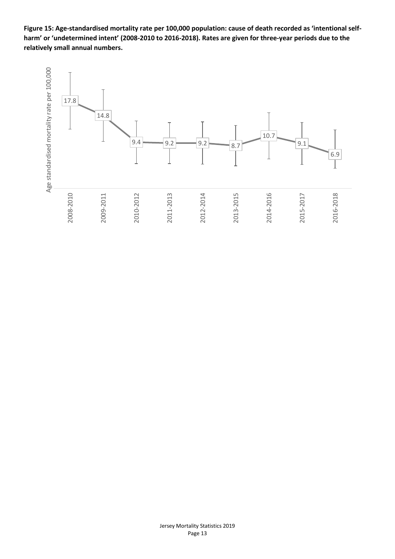**Figure 15: Age-standardised mortality rate per 100,000 population: cause of death recorded as 'intentional selfharm' or 'undetermined intent' (2008-2010 to 2016-2018). Rates are given for three-year periods due to the relatively small annual numbers.**